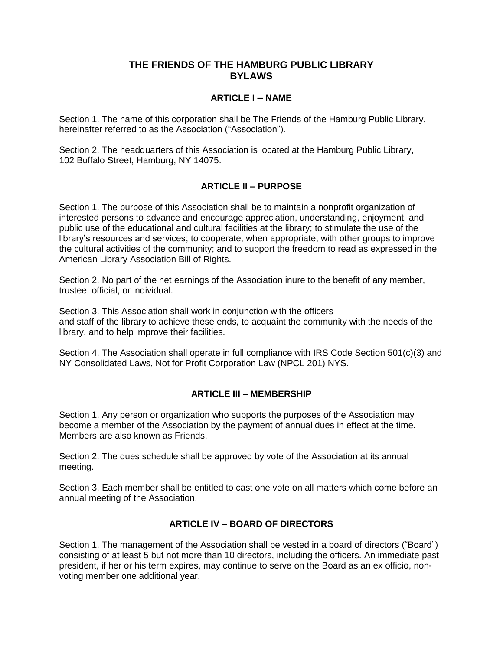### **THE FRIENDS OF THE HAMBURG PUBLIC LIBRARY BYLAWS**

### **ARTICLE I – NAME**

Section 1. The name of this corporation shall be The Friends of the Hamburg Public Library, hereinafter referred to as the Association ("Association").

Section 2. The headquarters of this Association is located at the Hamburg Public Library, 102 Buffalo Street, Hamburg, NY 14075.

# **ARTICLE II – PURPOSE**

Section 1. The purpose of this Association shall be to maintain a nonprofit organization of interested persons to advance and encourage appreciation, understanding, enjoyment, and public use of the educational and cultural facilities at the library; to stimulate the use of the library's resources and services; to cooperate, when appropriate, with other groups to improve the cultural activities of the community; and to support the freedom to read as expressed in the American Library Association Bill of Rights.

Section 2. No part of the net earnings of the Association inure to the benefit of any member, trustee, official, or individual.

Section 3. This Association shall work in conjunction with the officers and staff of the library to achieve these ends, to acquaint the community with the needs of the library, and to help improve their facilities.

Section 4. The Association shall operate in full compliance with IRS Code Section 501(c)(3) and NY Consolidated Laws, Not for Profit Corporation Law (NPCL 201) NYS.

#### **ARTICLE III – MEMBERSHIP**

Section 1. Any person or organization who supports the purposes of the Association may become a member of the Association by the payment of annual dues in effect at the time. Members are also known as Friends.

Section 2. The dues schedule shall be approved by vote of the Association at its annual meeting.

Section 3. Each member shall be entitled to cast one vote on all matters which come before an annual meeting of the Association.

# **ARTICLE IV – BOARD OF DIRECTORS**

Section 1. The management of the Association shall be vested in a board of directors ("Board") consisting of at least 5 but not more than 10 directors, including the officers. An immediate past president, if her or his term expires, may continue to serve on the Board as an ex officio, nonvoting member one additional year.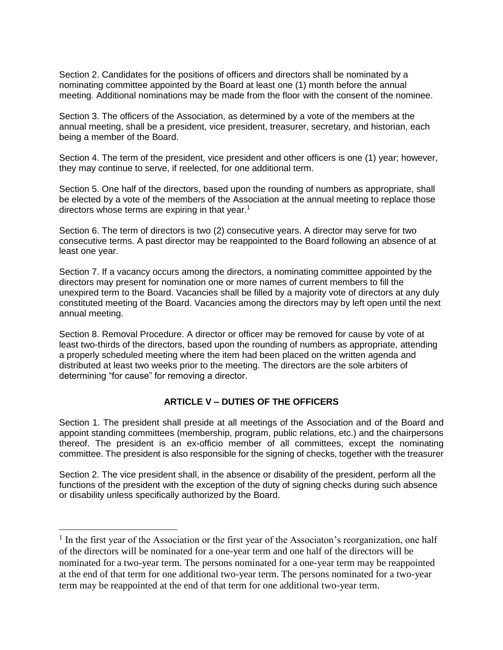Section 2. Candidates for the positions of officers and directors shall be nominated by a nominating committee appointed by the Board at least one (1) month before the annual meeting. Additional nominations may be made from the floor with the consent of the nominee.

Section 3. The officers of the Association, as determined by a vote of the members at the annual meeting, shall be a president, vice president, treasurer, secretary, and historian, each being a member of the Board.

Section 4. The term of the president, vice president and other officers is one (1) year; however, they may continue to serve, if reelected, for one additional term.

Section 5. One half of the directors, based upon the rounding of numbers as appropriate, shall be elected by a vote of the members of the Association at the annual meeting to replace those directors whose terms are expiring in that year.<sup>1</sup>

Section 6. The term of directors is two (2) consecutive years. A director may serve for two consecutive terms. A past director may be reappointed to the Board following an absence of at least one year.

Section 7. If a vacancy occurs among the directors, a nominating committee appointed by the directors may present for nomination one or more names of current members to fill the unexpired term to the Board. Vacancies shall be filled by a majority vote of directors at any duly constituted meeting of the Board. Vacancies among the directors may by left open until the next annual meeting.

Section 8. Removal Procedure. A director or officer may be removed for cause by vote of at least two-thirds of the directors, based upon the rounding of numbers as appropriate, attending a properly scheduled meeting where the item had been placed on the written agenda and distributed at least two weeks prior to the meeting. The directors are the sole arbiters of determining "for cause" for removing a director.

# **ARTICLE V – DUTIES OF THE OFFICERS**

Section 1. The president shall preside at all meetings of the Association and of the Board and appoint standing committees (membership, program, public relations, etc.) and the chairpersons thereof. The president is an ex-officio member of all committees, except the nominating committee. The president is also responsible for the signing of checks, together with the treasurer

Section 2. The vice president shall, in the absence or disability of the president, perform all the functions of the president with the exception of the duty of signing checks during such absence or disability unless specifically authorized by the Board.

 $\overline{a}$ 

<sup>&</sup>lt;sup>1</sup> In the first year of the Association or the first year of the Associaton's reorganization, one half of the directors will be nominated for a one-year term and one half of the directors will be nominated for a two-year term. The persons nominated for a one-year term may be reappointed at the end of that term for one additional two-year term. The persons nominated for a two-year term may be reappointed at the end of that term for one additional two-year term.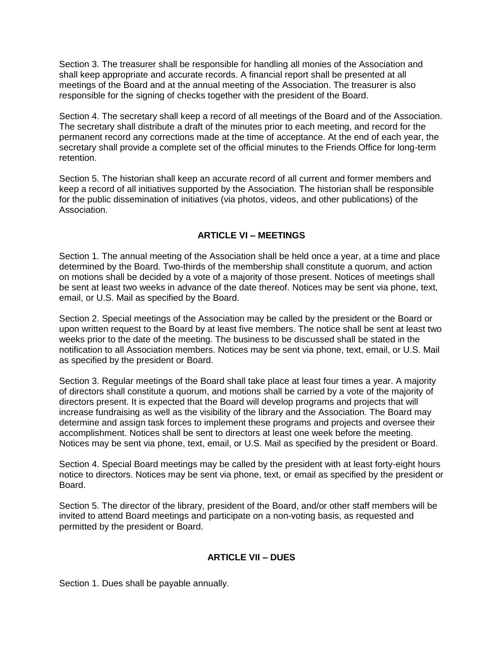Section 3. The treasurer shall be responsible for handling all monies of the Association and shall keep appropriate and accurate records. A financial report shall be presented at all meetings of the Board and at the annual meeting of the Association. The treasurer is also responsible for the signing of checks together with the president of the Board.

Section 4. The secretary shall keep a record of all meetings of the Board and of the Association. The secretary shall distribute a draft of the minutes prior to each meeting, and record for the permanent record any corrections made at the time of acceptance. At the end of each year, the secretary shall provide a complete set of the official minutes to the Friends Office for long-term retention.

Section 5. The historian shall keep an accurate record of all current and former members and keep a record of all initiatives supported by the Association. The historian shall be responsible for the public dissemination of initiatives (via photos, videos, and other publications) of the Association.

#### **ARTICLE VI – MEETINGS**

Section 1. The annual meeting of the Association shall be held once a year, at a time and place determined by the Board. Two-thirds of the membership shall constitute a quorum, and action on motions shall be decided by a vote of a majority of those present. Notices of meetings shall be sent at least two weeks in advance of the date thereof. Notices may be sent via phone, text, email, or U.S. Mail as specified by the Board.

Section 2. Special meetings of the Association may be called by the president or the Board or upon written request to the Board by at least five members. The notice shall be sent at least two weeks prior to the date of the meeting. The business to be discussed shall be stated in the notification to all Association members. Notices may be sent via phone, text, email, or U.S. Mail as specified by the president or Board.

Section 3. Regular meetings of the Board shall take place at least four times a year. A majority of directors shall constitute a quorum, and motions shall be carried by a vote of the majority of directors present. It is expected that the Board will develop programs and projects that will increase fundraising as well as the visibility of the library and the Association. The Board may determine and assign task forces to implement these programs and projects and oversee their accomplishment. Notices shall be sent to directors at least one week before the meeting. Notices may be sent via phone, text, email, or U.S. Mail as specified by the president or Board.

Section 4. Special Board meetings may be called by the president with at least forty-eight hours notice to directors. Notices may be sent via phone, text, or email as specified by the president or Board.

Section 5. The director of the library, president of the Board, and/or other staff members will be invited to attend Board meetings and participate on a non-voting basis, as requested and permitted by the president or Board.

#### **ARTICLE VII – DUES**

Section 1. Dues shall be payable annually.